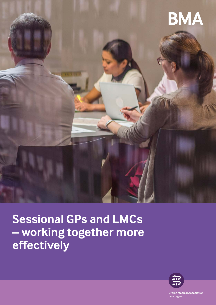

**Sessional GPs and LMCs – working together more effectively** 



**British Medical Association** bma.org.uk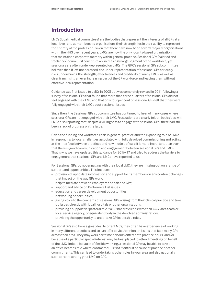### **Introduction**

LMCs (local medical committees) are the bodies that represent the interests of all GPs at a local level, and as membership organisations their strength lies in their ability to represent the entirety of the profession. Given that there have now been several major reorganisations within the NHS over recent years, LMCs are now the only locality-based organisation that maintains a corporate memory within general practice. Sessional GPs (salaried and freelance/locum GPs) constitute an increasingly large segment of the workforce, yet sessionals are often under-represented on LMCs. The GPC's sessional GPs subcommittee believes that, if left unaddressed, the under-representation of sessional GPs seriously risks undermining the strength, effectiveness and credibility of many LMCs, as well as disenfranchising an ever increasing part of the GP workforce and leaving them without effective local representation.

Guidance was first issued to LMCs in 2005 but was completely revised in 2011 following a survey of sessional GPs that found that more than three quarters of sessional GPs did not feel engaged with their LMC and that only four per cent of sessional GPs felt that they were fully engaged with their LMC about sessional issues.

Since then, the Sessional GPs subcommittee has continued to hear of many cases where sessional GPs are not engaged with their LMC. Frustrations are clearly felt on both sides; with LMCs also reporting that, despite a willingness to engage with sessional GPs, there had still been a lack of progress on the issue.

Given the funding and workforce crisis in general practice and the expanding role of LMCs in responding to local challenges associated with fully devolved commissioning and acting as the interface between practices and new models of care it is more important than ever that there is good communication and engagement between sessional GPs and LMCs. That is why we have updated this guidance for 2016/17 and tried to address the barriers to engagement that sessional GPs and LMCs have reported to us.

For Sessional GPs, by not engaging with their local LMC, they are missing out on a range of support and opportunities. This includes:

- provision of up to date information and support for its members on any contract changes that impact on the way GPs work;
- help to mediate between employers and salaried GPs;
- support and advice on Performers List issues;
- education and career development opportunities;
- networking opportunities;
- giving voice to the concerns of sessional GPs arising from their clinical practice and take up issues directly with local hospitals or other organisations;
- providing a supportive/pastoral role if a GP has difficulties with their CCG, area team or local service agency, or equivalent body in the devolved administrations;
- providing the opportunity to undertake GP leadership roles.

Sessional GPs also have a great deal to offer LMCs; they often have experience of working in many different practices and so can offer advice/opinion on issues that face many GPs across their area. They may work part time or hours different to practice hours, and/or because of a particular special interest may be best placed to attend meetings on behalf of the LMC. Indeed because of flexible working, a sessional GP may be able to take on an office bearer's role where contractor GPs find it difficult because of practice or other commitments. This can lead to undertaking other roles in your area and also nationally such as representing your LMC on GPC.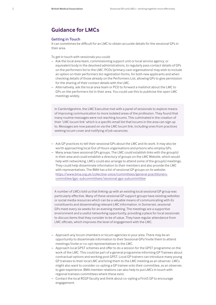## **Guidance for LMCs**

#### **Getting in Touch**

It can sometimes be difficult for an LMC to obtain accurate details for the sessional GPs in their area.

To get in touch with sessionals you could:

- Ask the local area team, commissioning support unit or local service agency, or equivalent body in the devolved administrations, to regularly pass contact details of GPs on the performers list to the LMC. PCOs (primary care organisations) may wish to include an option on their performers list registration forms, for both new applicants and when checking details of those already on the Performers List, allowing GPs to give permission for the sharing of their contact details with the LMC.
- Alternatively, ask the local area team or PCO to forward a mailshot about the LMC to GPs on the performers list in their area. You could use this to publicise the open LMC meetings widely.

In Cambridgeshire, the LMC Executive met with a panel of sessionals to explore means of improving communication to more isolated areas of the profession. They found that many routine messages were not reaching locums. This culminated in the creation of their 'LMC locum link' which is a specific email list that locums in the area can sign up to. Messages are now passed on via the LMC locum link, including ones from practices seeking locum cover and notifying of job vacancies.

- Ask GP practices to tell their sessional GPs about the LMC and its work. It may also be worth approaching local Out of Hours organisations and prisons who employ GPs.
- Many areas have sessional GPs groups. The LMC could establish links with the group(s) in their area and could establish a directory of groups on the LMC Website, which would help with networking. LMCs could also arrange to attend some of the group(s) meetings. They could help disseminate information to their members and also provide the LMC with representatives. The BMA has a list of sessional GP groups on its website: [https://www.bma.org.uk/collective-voice/committees/general-practitioners](https://www.bma.org.uk/collective-voice/committees/general-practitioners-committee/gpc-subcommittees/sessional-gps-subcommittee)[committee/gpc-subcommittees/sessional-gps-subcommittee](https://www.bma.org.uk/collective-voice/committees/general-practitioners-committee/gpc-subcommittees/sessional-gps-subcommittee)

A number of LMCs told us that linking up with an existing local sessional GP group was particularly effective. Many of these sessional GP support groups have existing websites or social media resources which can be a valuable means of communicating with its constituents and disseminating relevant LMC information. In Somerset, sessional GPs meet every six weeks for an evening meeting. The meetings are a supportive environment and a useful networking opportunity, providing a place for local sessionals to discuss items that they consider to be of value. They have regular attendance from LMC officials, which improves the level of engagement with the LMC.

- Approach any locum chambers or locum agencies in your area. There may be an opportunity to disseminate information to their Sessional GPs/invite them to attend meetings/invite or co-opt representatives to the LMC.
- Approach local GPST schemes and offer to do a session for the GPST programme on the work of the LMC. This could be part of a general programme informing GP Trainees about contractual options and working post GPST. Local GP trainers can introduce many young GP trainees to their local LMC and bring them to the LMC meeting as an observer. LMCs might also want to consider co-opting a GP trainee onto their committee, as an observer, to gain experience. BMA member relations can also help to put LMCs in touch with regional trainees committees where these exist.
- Contact the local RCGP faculty and think about co-opting a First5 GP to encourage engagement.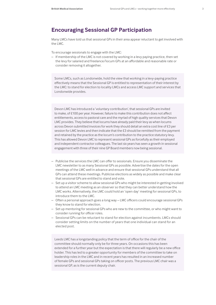# **Encouraging Sessional GP Participation**

Many LMCs have told us that sessional GPs in their area appear reluctant to get involved with the LMC.

To encourage sessionals to engage with the LMC:

– If membership of the LMC is not covered by working in a levy paying practice, then set the levy for salaried and freelance/locum GPs at an affordable and reasonable rate or consider removing it altogether.

Some LMCs, such as Londonwide, hold the view that working in a levy-paying practice effectively means that the Sessional GP is entitled to representation of their interest by the LMC: to stand for election to locality LMCs and access LMC support and services that Londonwide provides.

Devon LMC has introduced a 'voluntary contribution', that sessional GPs are invited to make, of £100 per year. However, failure to make this contribution does not affect entitlements, access to pastoral care and the myriad of high quality services that Devon LMC provides. They believe that locums have already paid their levy as when locums across Devon submitted invoices for work they should detail an extra cost line of £3 per session for LMC levies and then indicate that the £3 should be remitted from the payment and retained by the practice as the locum's contribution to the practice statutory levy. This has allowed Devon LMC to represent sessional GPs as forcefully as their employed and independent contractor colleagues. The last six years has seen a growth in sessional engagement with three of their nine GP Board members now being sessional.

- Publicise the services the LMC can offer to sessionals. Ensure you disseminate the LMC newsletter to as many Sessional GPs as possible. Advertise the dates for the open meetings of the LMC well in advance and ensure that sessional GPs understand that all GPs can attend these meetings. Publicise elections as widely as possible and make clear that sessional GPs are entitled to stand and vote.
- Set up a visitor scheme to allow sessional GPs who might be interested in getting involved to attend an LMC meeting as an observer so that they can better understand how the LMC works. Alternatively, the LMC could hold an 'open day' meeting for sessional GPs, to introduce them to the LMC.
- Often a personal approach goes a long way LMC officers could encourage sessional GPs they know to stand for election.
- Set up mentoring for sessional GPs who are new to the committee, or who might want to consider running for officer roles.
- Sessional GPs can be reluctant to stand for election against incumbents. LMCs should consider setting limits on the number of years that one individual can stand for an elected post.

Leeds LMC has a longstanding policy that the term of office for the chair of the committee should normally only be for three years. On occasions this has been extended for a further year but the expectation is that there will regularly be a new office holder. This has led to a greater opportunity for members of the committee to take on leadership roles in the LMC and in recent years has resulted in an increased number of female GPs and sessional GPs taking on officer posts. The previous LMC chair was a sessional GP, as is the current deputy chair.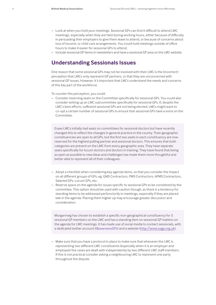- Look at when you hold your meetings. Sessional GPs can find it difficult to attend LMC meetings, especially when they are held during working hours, either because of difficulty in persuading their employers to give them leave to attend, or because of concerns about loss of income, or child care arrangements. You could hold meetings outside of office hours to make it easier for sessional GPs to attend.
- Include sessional GP items in newsletters and have a sessional GP area on the LMC website.

# **Understanding Sessionals Issues**

One reason that some sessional GPs may not be involved with their LMC is the (incorrect) perception that LMCs only represent GP partners, or that they are unconcerned with sessional GP issues. However, it's important that LMCs understand the needs and concerns of this key part of the workforce.

To counter this perception, you could:

– Consider reserving seats on the Committee specifically for sessional GPs. You could also consider setting up an LMC subcommittee specifically for sessional GPs. If, despite the LMC's best efforts, sufficient sessional GPs are not being elected, LMCs might want to co-opt a certain number of sessional GPs to ensure that sessional GPs have a voice on the Committee.

Essex LMCs initially had seats on committees for sessional doctors but have recently changed this to reflect the changes in general practice in the county. Their geographic constituencies are open to all GPs, but the first two seats in each constituency are now reserved for the highest polling partner and sessional doctors. This ensures that both categories are present on the LMC from every geographic area. They have separate seats specifically for locum doctors and doctors in training. They have found that being as open as possible to new ideas and challenges has made them more thoughtful and better able to represent all of their colleagues.

- Adopt a checklist when considering key agenda items, so that you consider the impact on all different groups of GPs, eg. GMS Contractors, PMS Contractors, APMS Contractors, Salaried GPs, Locum GPs, etc.
- Reserve space on the agenda for issues specific to sessional GPs to be considered by the committee. This option should be used with caution though, as there is a tendency for standing items to be addressed perfunctorily in meetings, especially if they are placed late in the agenda. Placing them higher up may encourage greater discussion and consideration.

Morgannwg has chosen to establish a specific non-geographical constituency for 5 sessional GP members on the LMC and has a standing item on sessional GP matters on the agenda for LMC meetings. It has made use of social media to contact sessionals, with a dedicated twitter account (@swansessGPs) and a website (<http://www.ssgp.org.uk>).

– Make sure that you have a protocol in place to make sure that whenever the LMC is representing two different LMC constituents (especially when it is an employer and employee) the cases are dealt with independently by two different LMC staff members. If this is not practical consider asking a neighbouring LMC to represent one party throughout the dispute.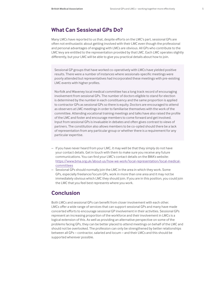## **What Can Sessional GPs Do?**

Many LMCs have reported to us that, despite efforts on the LMC's part, sessional GPs are often not enthusiastic about getting involved with their LMC even though the professional and personal advantages of engaging with LMCs are obvious. All GPs who contribute to the LMC levy are entitled to the representation provided by that LMC. Each LMC operates slightly differently, but your LMC will be able to give you practical details about how to join.

Sessional GP groups that have worked co-operatively with LMCs have yielded positive results. There were a number of instances where sessionals-specific meetings were poorly attended but representatives had incorporated these meetings with pre-existing LMC events with higher profiles.

Norfolk and Waveney local medical committee has a long track record of encouraging involvement from sessional GPs. The number of doctors eligible to stand for election is determined by the number in each constituency and the same proportion is applied to contractor GPs as sessional GPs so there is equity. Doctors are encouraged to attend as observers at LMC meetings in order to familiarise themselves with the work of the committee. Attending vocational training meetings and talks have also raised the profile of the LMC and foster and encourage members to come forward and get involved. Input from sessional GPs is invaluable in debates and often gives contrast to views of partners. The constitution also allows members to be co-opted should there be a lack of representation from any particular group or whether there is a requirement for any particular expertise.

- If you have never heard from your LMC, it may well be that they simply do not have your contact details. Get in touch with them to make sure you receive any future communications. You can find your LMC's contact details on the BMA's website: [https://www.bma.org.uk/about-us/how-we-work/local-representation/local-medical](https://www.bma.org.uk/about-us/how-we-work/local-representation/local-medical-committees)[committees](https://www.bma.org.uk/about-us/how-we-work/local-representation/local-medical-committees)
- Sessional GPs should normally join the LMC in the area in which they work. Some GPs, especially freelance/locum GPs, work in more than one area and it may not be immediately obvious which LMC they should join. If you are in this position, you could join the LMC that you feel best represents where you work.

# **Conclusion**

Both LMCs and sessional GPs can benefit from closer involvement with each other. LMCs offer a wide range of services that can support sessional GPs and many have made concerted efforts to encourage sessional GP involvement in their activities. Sessional GPs represent an increasing proportion of the workforce and their involvement in LMCs is a logical extension of this. As well as providing an alternative perspective on some of the problems facing GPs, they can be better placed to attend meetings on behalf of the LMC and should not be overlooked. The profession can only be strengthened by better relationships between all GPs – contractor, salaried and locum – and their LMCs and this should be supported wherever possible.